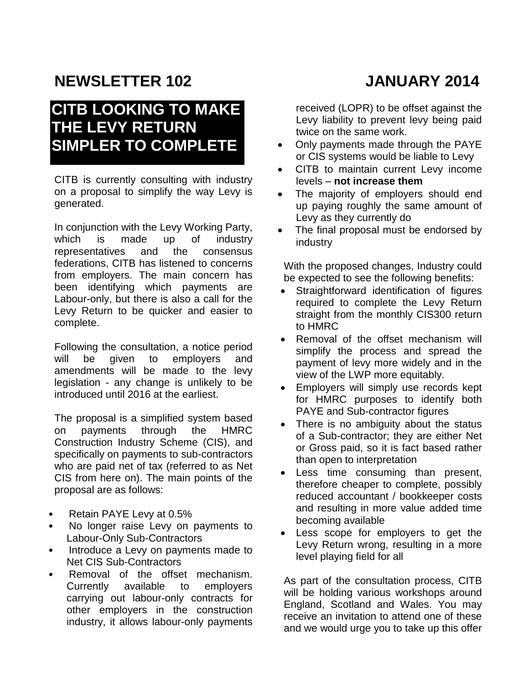# **NEWSLETTER 102 JANUARY 2014**

## **CITB LOOKING TO MAKE THE LEVY RETURN SIMPLER TO COMPLETE**

CITB is currently consulting with industry on a proposal to simplify the way Levy is generated.

In conjunction with the Levy Working Party, which is made up of industry representatives and the consensus federations, CITB has listened to concerns from employers. The main concern has been identifying which payments are Labour-only, but there is also a call for the Levy Return to be quicker and easier to complete.

Following the consultation, a notice period will be given to employers and amendments will be made to the levy legislation - any change is unlikely to be introduced until 2016 at the earliest.

The proposal is a simplified system based on payments through the HMRC Construction Industry Scheme (CIS), and specifically on payments to sub-contractors who are paid net of tax (referred to as Net CIS from here on). The main points of the proposal are as follows:

- Retain PAYE Levy at 0.5%
- No longer raise Levy on payments to Labour-Only Sub-Contractors
- Introduce a Levy on payments made to Net CIS Sub-Contractors
- Removal of the offset mechanism. Currently available to employers carrying out labour-only contracts for other employers in the construction industry, it allows labour-only payments

received (LOPR) to be offset against the Levy liability to prevent levy being paid twice on the same work.

- Only payments made through the PAYE or CIS systems would be liable to Levy
- CITB to maintain current Levy income levels – **not increase them**
- The majority of employers should end up paying roughly the same amount of Levy as they currently do
- The final proposal must be endorsed by industry

With the proposed changes, Industry could be expected to see the following benefits:

- Straightforward identification of figures required to complete the Levy Return straight from the monthly CIS300 return to HMRC
- Removal of the offset mechanism will simplify the process and spread the payment of levy more widely and in the view of the LWP more equitably.
- Employers will simply use records kept for HMRC purposes to identify both PAYE and Sub-contractor figures
- There is no ambiguity about the status of a Sub-contractor; they are either Net or Gross paid, so it is fact based rather than open to interpretation
- Less time consuming than present, therefore cheaper to complete, possibly reduced accountant / bookkeeper costs and resulting in more value added time becoming available
- Less scope for employers to get the Levy Return wrong, resulting in a more level playing field for all

As part of the consultation process, CITB will be holding various workshops around England, Scotland and Wales. You may receive an invitation to attend one of these and we would urge you to take up this offer